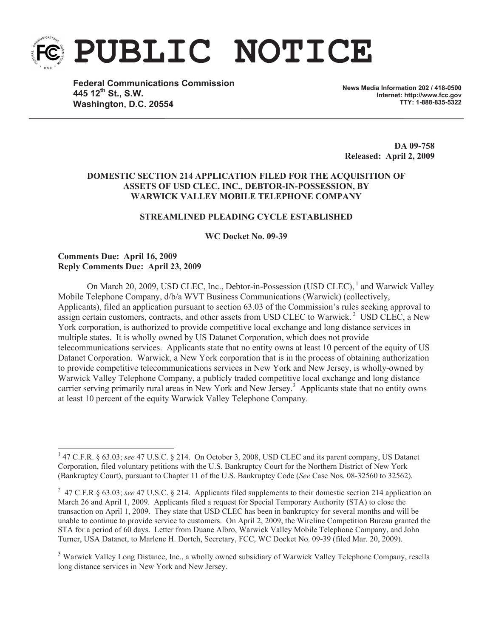

**PUBLIC NOTICE**

**Federal Communications Commission 445 12th St., S.W. Washington, D.C. 20554**

**News Media Information 202 / 418-0500 Internet: http://www.fcc.gov TTY: 1-888-835-5322**

**DA 09-758 Released: April 2, 2009**

## **DOMESTIC SECTION 214 APPLICATION FILED FOR THE ACQUISITION OF ASSETS OF USD CLEC, INC., DEBTOR-IN-POSSESSION, BY WARWICK VALLEY MOBILE TELEPHONE COMPANY**

### **STREAMLINED PLEADING CYCLE ESTABLISHED**

**WC Docket No. 09-39**

### **Comments Due: April 16, 2009 Reply Comments Due: April 23, 2009**

On March 20, 2009, USD CLEC, Inc., Debtor-in-Possession (USD CLEC), <sup>1</sup> and Warwick Valley Mobile Telephone Company, d/b/a WVT Business Communications (Warwick) (collectively, Applicants), filed an application pursuant to section 63.03 of the Commission's rules seeking approval to assign certain customers, contracts, and other assets from USD CLEC to Warwick.<sup>2</sup> USD CLEC, a New York corporation, is authorized to provide competitive local exchange and long distance services in multiple states. It is wholly owned by US Datanet Corporation, which does not provide telecommunications services. Applicants state that no entity owns at least 10 percent of the equity of US Datanet Corporation. Warwick, a New York corporation that is in the process of obtaining authorization to provide competitive telecommunications services in New York and New Jersey, is wholly-owned by Warwick Valley Telephone Company, a publicly traded competitive local exchange and long distance carrier serving primarily rural areas in New York and New Jersey.<sup>3</sup> Applicants state that no entity owns at least 10 percent of the equity Warwick Valley Telephone Company.

<sup>&</sup>lt;sup>1</sup> 47 C.F.R. § 63.03; *see* 47 U.S.C. § 214. On October 3, 2008, USD CLEC and its parent company, US Datanet Corporation, filed voluntary petitions with the U.S. Bankruptcy Court for the Northern District of New York (Bankruptcy Court), pursuant to Chapter 11 of the U.S. Bankruptcy Code (*See* Case Nos. 08-32560 to 32562).

<sup>2</sup> 47 C.F.R § 63.03; *see* 47 U.S.C. § 214. Applicants filed supplements to their domestic section 214 application on March 26 and April 1, 2009. Applicants filed a request for Special Temporary Authority (STA) to close the transaction on April 1, 2009. They state that USD CLEC has been in bankruptcy for several months and will be unable to continue to provide service to customers. On April 2, 2009, the Wireline Competition Bureau granted the STA for a period of 60 days. Letter from Duane Albro, Warwick Valley Mobile Telephone Company, and John Turner, USA Datanet, to Marlene H. Dortch, Secretary, FCC, WC Docket No. 09-39 (filed Mar. 20, 2009).

<sup>&</sup>lt;sup>3</sup> Warwick Valley Long Distance, Inc., a wholly owned subsidiary of Warwick Valley Telephone Company, resells long distance services in New York and New Jersey.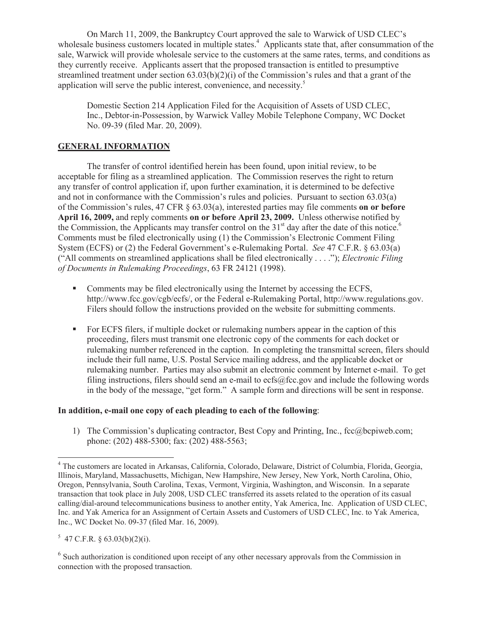On March 11, 2009, the Bankruptcy Court approved the sale to Warwick of USD CLEC's wholesale business customers located in multiple states.<sup>4</sup> Applicants state that, after consummation of the sale, Warwick will provide wholesale service to the customers at the same rates, terms, and conditions as they currently receive. Applicants assert that the proposed transaction is entitled to presumptive streamlined treatment under section  $(63.03(b)(2)(i))$  of the Commission's rules and that a grant of the application will serve the public interest, convenience, and necessity. 5

Domestic Section 214 Application Filed for the Acquisition of Assets of USD CLEC, Inc., Debtor-in-Possession, by Warwick Valley Mobile Telephone Company, WC Docket No. 09-39 (filed Mar. 20, 2009).

# **GENERAL INFORMATION**

The transfer of control identified herein has been found, upon initial review, to be acceptable for filing as a streamlined application. The Commission reserves the right to return any transfer of control application if, upon further examination, it is determined to be defective and not in conformance with the Commission's rules and policies. Pursuant to section 63.03(a) of the Commission's rules, 47 CFR § 63.03(a), interested parties may file comments **on or before April 16, 2009,** and reply comments **on or before April 23, 2009.** Unless otherwise notified by the Commission, the Applicants may transfer control on the  $31<sup>st</sup>$  day after the date of this notice.<sup>6</sup> Comments must be filed electronically using (1) the Commission's Electronic Comment Filing System (ECFS) or (2) the Federal Government's e-Rulemaking Portal. *See* 47 C.F.R. § 63.03(a) ("All comments on streamlined applications shall be filed electronically . . . ."); *Electronic Filing of Documents in Rulemaking Proceedings*, 63 FR 24121 (1998).

- Comments may be filed electronically using the Internet by accessing the ECFS, http://www.fcc.gov/cgb/ecfs/, or the Federal e-Rulemaking Portal, http://www.regulations.gov. Filers should follow the instructions provided on the website for submitting comments.
- For ECFS filers, if multiple docket or rulemaking numbers appear in the caption of this proceeding, filers must transmit one electronic copy of the comments for each docket or rulemaking number referenced in the caption. In completing the transmittal screen, filers should include their full name, U.S. Postal Service mailing address, and the applicable docket or rulemaking number. Parties may also submit an electronic comment by Internet e-mail. To get filing instructions, filers should send an e-mail to ecfs@fcc.gov and include the following words in the body of the message, "get form." A sample form and directions will be sent in response.

### **In addition, e-mail one copy of each pleading to each of the following**:

1) The Commission's duplicating contractor, Best Copy and Printing, Inc., fcc@bcpiweb.com; phone: (202) 488-5300; fax: (202) 488-5563;

 $5$  47 C.F.R. § 63.03(b)(2)(i).

<sup>4</sup> The customers are located in Arkansas, California, Colorado, Delaware, District of Columbia, Florida, Georgia, Illinois, Maryland, Massachusetts, Michigan, New Hampshire, New Jersey, New York, North Carolina, Ohio, Oregon, Pennsylvania, South Carolina, Texas, Vermont, Virginia, Washington, and Wisconsin. In a separate transaction that took place in July 2008, USD CLEC transferred its assets related to the operation of its casual calling/dial-around telecommunications business to another entity, Yak America, Inc. Application of USD CLEC, Inc. and Yak America for an Assignment of Certain Assets and Customers of USD CLEC, Inc. to Yak America, Inc., WC Docket No. 09-37 (filed Mar. 16, 2009).

<sup>&</sup>lt;sup>6</sup> Such authorization is conditioned upon receipt of any other necessary approvals from the Commission in connection with the proposed transaction.